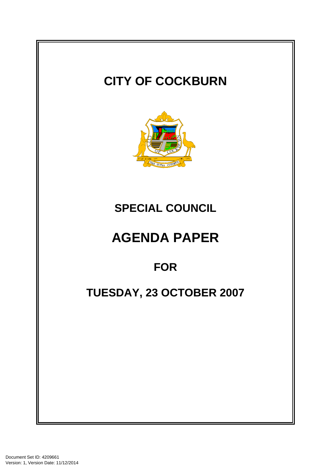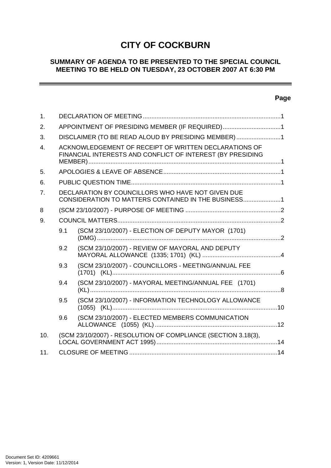# **CITY OF COCKBURN**

# **SUMMARY OF AGENDA TO BE PRESENTED TO THE SPECIAL COUNCIL MEETING TO BE HELD ON TUESDAY, 23 OCTOBER 2007 AT 6:30 PM**

# **Page**

-

| 1.               |                                                                                                                     |                                                                                                          |  |  |
|------------------|---------------------------------------------------------------------------------------------------------------------|----------------------------------------------------------------------------------------------------------|--|--|
| 2.               | APPOINTMENT OF PRESIDING MEMBER (IF REQUIRED)1                                                                      |                                                                                                          |  |  |
| 3.               | DISCLAIMER (TO BE READ ALOUD BY PRESIDING MEMBER) 1                                                                 |                                                                                                          |  |  |
| $\overline{4}$ . | ACKNOWLEDGEMENT OF RECEIPT OF WRITTEN DECLARATIONS OF<br>FINANCIAL INTERESTS AND CONFLICT OF INTEREST (BY PRESIDING |                                                                                                          |  |  |
| 5.               |                                                                                                                     |                                                                                                          |  |  |
| 6.               |                                                                                                                     |                                                                                                          |  |  |
| 7.               |                                                                                                                     | DECLARATION BY COUNCILLORS WHO HAVE NOT GIVEN DUE<br>CONSIDERATION TO MATTERS CONTAINED IN THE BUSINESS1 |  |  |
| 8                |                                                                                                                     |                                                                                                          |  |  |
| 9.               |                                                                                                                     |                                                                                                          |  |  |
|                  | 9.1                                                                                                                 | (SCM 23/10/2007) - ELECTION OF DEPUTY MAYOR (1701)                                                       |  |  |
|                  | 9.2                                                                                                                 | (SCM 23/10/2007) - REVIEW OF MAYORAL AND DEPUTY                                                          |  |  |
|                  | 9.3                                                                                                                 | (SCM 23/10/2007) - COUNCILLORS - MEETING/ANNUAL FEE                                                      |  |  |
|                  | 9.4                                                                                                                 | (SCM 23/10/2007) - MAYORAL MEETING/ANNUAL FEE (1701)                                                     |  |  |
|                  | 9.5                                                                                                                 | (SCM 23/10/2007) - INFORMATION TECHNOLOGY ALLOWANCE                                                      |  |  |
|                  | 9.6                                                                                                                 | (SCM 23/10/2007) - ELECTED MEMBERS COMMUNICATION                                                         |  |  |
| 10.              |                                                                                                                     | (SCM 23/10/2007) - RESOLUTION OF COMPLIANCE (SECTION 3.18(3),                                            |  |  |
| 11.              |                                                                                                                     |                                                                                                          |  |  |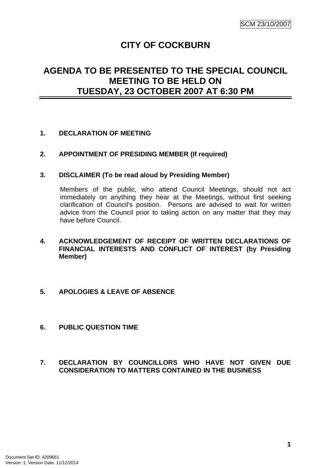# **CITY OF COCKBURN**

# <span id="page-2-0"></span>**AGENDA TO BE PRESENTED TO THE SPECIAL COUNCIL MEETING TO BE HELD ON TUESDAY, 23 OCTOBER 2007 AT 6:30 PM**

# **1. DECLARATION OF MEETING**

## **2. APPOINTMENT OF PRESIDING MEMBER (If required)**

## **3. DISCLAIMER (To be read aloud by Presiding Member)**

Members of the public, who attend Council Meetings, should not act immediately on anything they hear at the Meetings, without first seeking clarification of Council's position. Persons are advised to wait for written advice from the Council prior to taking action on any matter that they may have before Council.

- **4. ACKNOWLEDGEMENT OF RECEIPT OF WRITTEN DECLARATIONS OF FINANCIAL INTERESTS AND CONFLICT OF INTEREST (by Presiding Member)**
- **5. APOLOGIES & LEAVE OF ABSENCE**
- **6. PUBLIC QUESTION TIME**

## **7. DECLARATION BY COUNCILLORS WHO HAVE NOT GIVEN DUE CONSIDERATION TO MATTERS CONTAINED IN THE BUSINESS**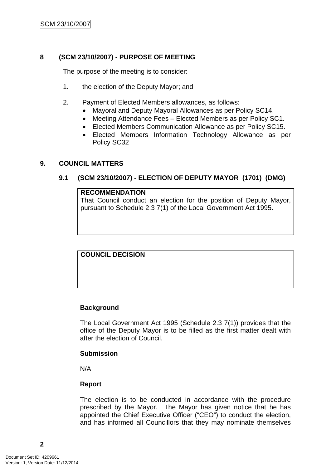# <span id="page-3-0"></span>**8 (SCM 23/10/2007) - PURPOSE OF MEETING**

The purpose of the meeting is to consider:

- 1. the election of the Deputy Mayor; and
- 2. Payment of Elected Members allowances, as follows:
	- Mayoral and Deputy Mayoral Allowances as per Policy SC14.
	- Meeting Attendance Fees Elected Members as per Policy SC1.
	- Elected Members Communication Allowance as per Policy SC15.
	- Elected Members Information Technology Allowance as per Policy SC32

### **9. COUNCIL MATTERS**

## **9.1 (SCM 23/10/2007) - ELECTION OF DEPUTY MAYOR (1701) (DMG)**

#### **RECOMMENDATION**

That Council conduct an election for the position of Deputy Mayor, pursuant to Schedule 2.3 7(1) of the Local Government Act 1995.

**COUNCIL DECISION**

## **Background**

The Local Government Act 1995 (Schedule 2.3 7(1)) provides that the office of the Deputy Mayor is to be filled as the first matter dealt with after the election of Council.

#### **Submission**

N/A

## **Report**

The election is to be conducted in accordance with the procedure prescribed by the Mayor. The Mayor has given notice that he has appointed the Chief Executive Officer ("CEO") to conduct the election, and has informed all Councillors that they may nominate themselves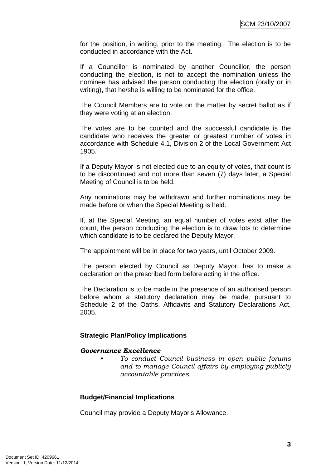for the position, in writing, prior to the meeting. The election is to be conducted in accordance with the Act.

If a Councillor is nominated by another Councillor, the person conducting the election, is not to accept the nomination unless the nominee has advised the person conducting the election (orally or in writing), that he/she is willing to be nominated for the office.

The Council Members are to vote on the matter by secret ballot as if they were voting at an election.

The votes are to be counted and the successful candidate is the candidate who receives the greater or greatest number of votes in accordance with Schedule 4.1, Division 2 of the Local Government Act 1905.

If a Deputy Mayor is not elected due to an equity of votes, that count is to be discontinued and not more than seven (7) days later, a Special Meeting of Council is to be held.

Any nominations may be withdrawn and further nominations may be made before or when the Special Meeting is held.

If, at the Special Meeting, an equal number of votes exist after the count, the person conducting the election is to draw lots to determine which candidate is to be declared the Deputy Mayor.

The appointment will be in place for two years, until October 2009.

The person elected by Council as Deputy Mayor, has to make a declaration on the prescribed form before acting in the office.

The Declaration is to be made in the presence of an authorised person before whom a statutory declaration may be made, pursuant to Schedule 2 of the Oaths, Affidavits and Statutory Declarations Act, 2005.

## **Strategic Plan/Policy Implications**

## *Governance Excellence*

*• To conduct Council business in open public forums and to manage Council affairs by employing publicly accountable practices.* 

# **Budget/Financial Implications**

Council may provide a Deputy Mayor's Allowance.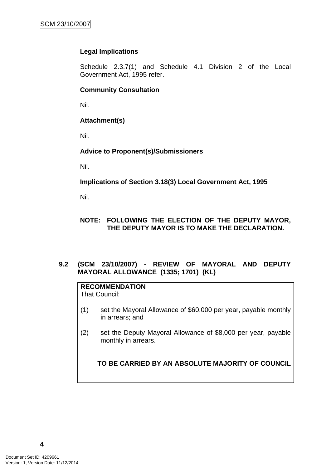# <span id="page-5-0"></span>**Legal Implications**

Schedule 2.3.7(1) and Schedule 4.1 Division 2 of the Local Government Act, 1995 refer.

### **Community Consultation**

Nil.

# **Attachment(s)**

Nil.

# **Advice to Proponent(s)/Submissioners**

Nil.

**Implications of Section 3.18(3) Local Government Act, 1995**

Nil.

# **NOTE: FOLLOWING THE ELECTION OF THE DEPUTY MAYOR, THE DEPUTY MAYOR IS TO MAKE THE DECLARATION.**

## **9.2 (SCM 23/10/2007) - REVIEW OF MAYORAL AND DEPUTY MAYORAL ALLOWANCE (1335; 1701) (KL)**

#### **RECOMMENDATION** That Council:

- (1) set the Mayoral Allowance of \$60,000 per year, payable monthly in arrears; and
- (2) set the Deputy Mayoral Allowance of \$8,000 per year, payable monthly in arrears.

# **TO BE CARRIED BY AN ABSOLUTE MAJORITY OF COUNCIL**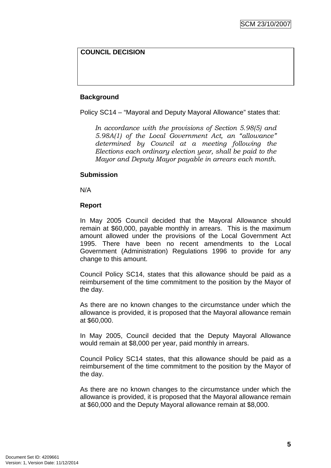# **COUNCIL DECISION**

# **Background**

Policy SC14 – "Mayoral and Deputy Mayoral Allowance" states that:

*In accordance with the provisions of Section 5.98(5) and 5.98A(1) of the Local Government Act, an "allowance" determined by Council at a meeting following the Elections each ordinary election year, shall be paid to the Mayor and Deputy Mayor payable in arrears each month.* 

# **Submission**

N/A

# **Report**

In May 2005 Council decided that the Mayoral Allowance should remain at \$60,000, payable monthly in arrears. This is the maximum amount allowed under the provisions of the Local Government Act 1995. There have been no recent amendments to the Local Government (Administration) Regulations 1996 to provide for any change to this amount.

Council Policy SC14, states that this allowance should be paid as a reimbursement of the time commitment to the position by the Mayor of the day.

As there are no known changes to the circumstance under which the allowance is provided, it is proposed that the Mayoral allowance remain at \$60,000.

In May 2005, Council decided that the Deputy Mayoral Allowance would remain at \$8,000 per year, paid monthly in arrears.

Council Policy SC14 states, that this allowance should be paid as a reimbursement of the time commitment to the position by the Mayor of the day.

As there are no known changes to the circumstance under which the allowance is provided, it is proposed that the Mayoral allowance remain at \$60,000 and the Deputy Mayoral allowance remain at \$8,000.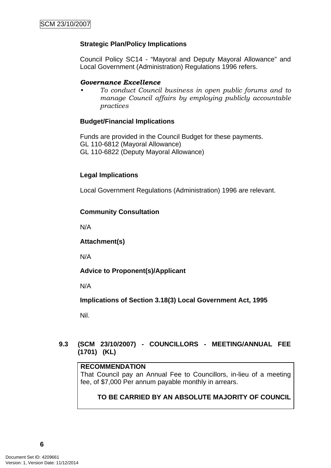# <span id="page-7-0"></span>**Strategic Plan/Policy Implications**

Council Policy SC14 - "Mayoral and Deputy Mayoral Allowance" and Local Government (Administration) Regulations 1996 refers.

## *Governance Excellence*

*• To conduct Council business in open public forums and to manage Council affairs by employing publicly accountable practices* 

## **Budget/Financial Implications**

Funds are provided in the Council Budget for these payments. GL 110-6812 (Mayoral Allowance) GL 110-6822 (Deputy Mayoral Allowance)

## **Legal Implications**

Local Government Regulations (Administration) 1996 are relevant.

## **Community Consultation**

N/A

## **Attachment(s)**

N/A

# **Advice to Proponent(s)/Applicant**

N/A

**Implications of Section 3.18(3) Local Government Act, 1995**

Nil.

## **9.3 (SCM 23/10/2007) - COUNCILLORS - MEETING/ANNUAL FEE (1701) (KL)**

#### **RECOMMENDATION**

That Council pay an Annual Fee to Councillors, in-lieu of a meeting fee, of \$7,000 Per annum payable monthly in arrears.

# **TO BE CARRIED BY AN ABSOLUTE MAJORITY OF COUNCIL**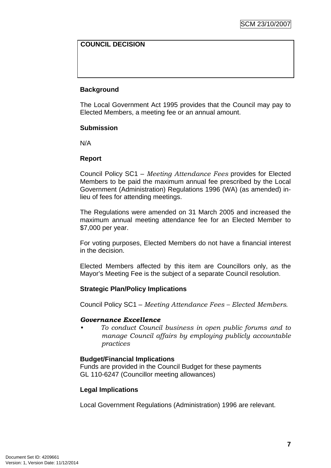# **COUNCIL DECISION**

# **Background**

The Local Government Act 1995 provides that the Council may pay to Elected Members, a meeting fee or an annual amount.

## **Submission**

N/A

## **Report**

Council Policy SC1 – *Meeting Attendance Fees* provides for Elected Members to be paid the maximum annual fee prescribed by the Local Government (Administration) Regulations 1996 (WA) (as amended) inlieu of fees for attending meetings.

The Regulations were amended on 31 March 2005 and increased the maximum annual meeting attendance fee for an Elected Member to \$7,000 per year.

For voting purposes, Elected Members do not have a financial interest in the decision.

Elected Members affected by this item are Councillors only, as the Mayor's Meeting Fee is the subject of a separate Council resolution.

## **Strategic Plan/Policy Implications**

Council Policy SC1 – *Meeting Attendance Fees – Elected Members*.

## *Governance Excellence*

*• To conduct Council business in open public forums and to manage Council affairs by employing publicly accountable practices* 

## **Budget/Financial Implications**

Funds are provided in the Council Budget for these payments GL 110-6247 (Councillor meeting allowances)

## **Legal Implications**

Local Government Regulations (Administration) 1996 are relevant.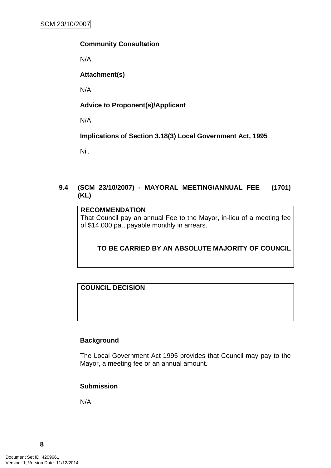## <span id="page-9-0"></span>**Community Consultation**

N/A

# **Attachment(s)**

N/A

# **Advice to Proponent(s)/Applicant**

N/A

**Implications of Section 3.18(3) Local Government Act, 1995**

Nil.

# **9.4 (SCM 23/10/2007) - MAYORAL MEETING/ANNUAL FEE (1701) (KL)**

### **RECOMMENDATION**

That Council pay an annual Fee to the Mayor, in-lieu of a meeting fee of \$14,000 pa., payable monthly in arrears.

# **TO BE CARRIED BY AN ABSOLUTE MAJORITY OF COUNCIL**

# **COUNCIL DECISION**

## **Background**

The Local Government Act 1995 provides that Council may pay to the Mayor, a meeting fee or an annual amount.

## **Submission**

N/A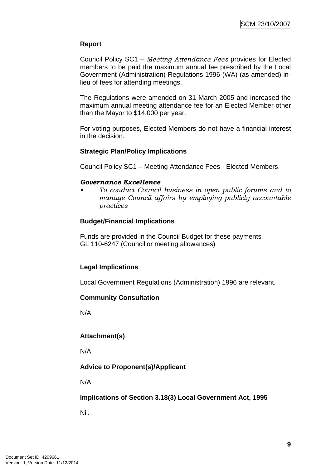# **Report**

Council Policy SC1 – *Meeting Attendance Fees* provides for Elected members to be paid the maximum annual fee prescribed by the Local Government (Administration) Regulations 1996 (WA) (as amended) inlieu of fees for attending meetings.

The Regulations were amended on 31 March 2005 and increased the maximum annual meeting attendance fee for an Elected Member other than the Mayor to \$14,000 per year.

For voting purposes, Elected Members do not have a financial interest in the decision.

# **Strategic Plan/Policy Implications**

Council Policy SC1 – Meeting Attendance Fees - Elected Members.

## *Governance Excellence*

*• To conduct Council business in open public forums and to manage Council affairs by employing publicly accountable practices* 

## **Budget/Financial Implications**

Funds are provided in the Council Budget for these payments GL 110-6247 (Councillor meeting allowances)

## **Legal Implications**

Local Government Regulations (Administration) 1996 are relevant.

## **Community Consultation**

N/A

## **Attachment(s)**

N/A

# **Advice to Proponent(s)/Applicant**

N/A

## **Implications of Section 3.18(3) Local Government Act, 1995**

Nil.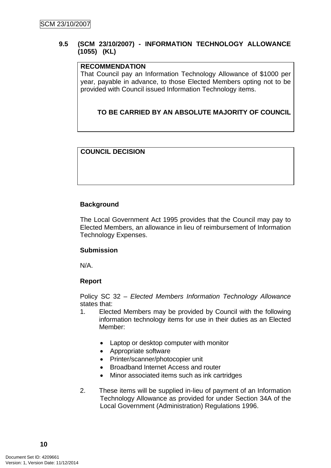## <span id="page-11-0"></span>**9.5 (SCM 23/10/2007) - INFORMATION TECHNOLOGY ALLOWANCE (1055) (KL)**

# **RECOMMENDATION**

That Council pay an Information Technology Allowance of \$1000 per year, payable in advance, to those Elected Members opting not to be provided with Council issued Information Technology items.

# **TO BE CARRIED BY AN ABSOLUTE MAJORITY OF COUNCIL**

# **COUNCIL DECISION**

# **Background**

The Local Government Act 1995 provides that the Council may pay to Elected Members, an allowance in lieu of reimbursement of Information Technology Expenses.

## **Submission**

N/A.

## **Report**

Policy SC 32 – *Elected Members Information Technology Allowance*  states that:

- 1. Elected Members may be provided by Council with the following information technology items for use in their duties as an Elected Member:
	- Laptop or desktop computer with monitor
	- Appropriate software
	- Printer/scanner/photocopier unit
	- Broadband Internet Access and router
	- Minor associated items such as ink cartridges
- 2. These items will be supplied in-lieu of payment of an Information Technology Allowance as provided for under Section 34A of the Local Government (Administration) Regulations 1996.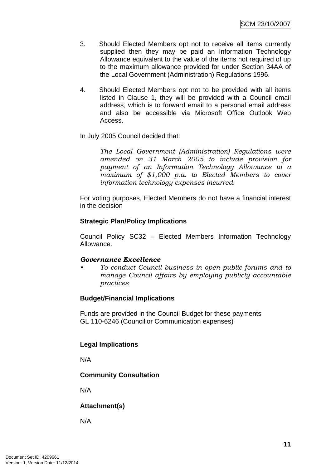- 3. Should Elected Members opt not to receive all items currently supplied then they may be paid an Information Technology Allowance equivalent to the value of the items not required of up to the maximum allowance provided for under Section 34AA of the Local Government (Administration) Regulations 1996.
- 4. Should Elected Members opt not to be provided with all items listed in Clause 1, they will be provided with a Council email address, which is to forward email to a personal email address and also be accessible via Microsoft Office Outlook Web Access.

In July 2005 Council decided that:

*The Local Government (Administration) Regulations were amended on 31 March 2005 to include provision for payment of an Information Technology Allowance to a maximum of \$1,000 p.a. to Elected Members to cover information technology expenses incurred.* 

For voting purposes, Elected Members do not have a financial interest in the decision

# **Strategic Plan/Policy Implications**

Council Policy SC32 – Elected Members Information Technology Allowance.

## *Governance Excellence*

*• To conduct Council business in open public forums and to manage Council affairs by employing publicly accountable practices* 

# **Budget/Financial Implications**

Funds are provided in the Council Budget for these payments GL 110-6246 (Councillor Communication expenses)

# **Legal Implications**

N/A

# **Community Consultation**

N/A

# **Attachment(s)**

N/A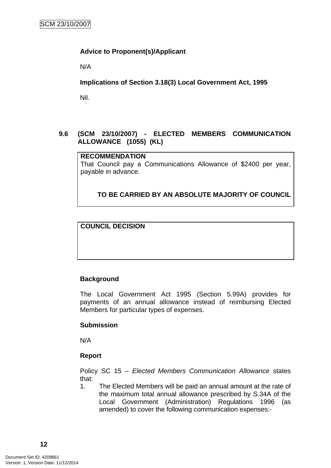# <span id="page-13-0"></span>**Advice to Proponent(s)/Applicant**

N/A

**Implications of Section 3.18(3) Local Government Act, 1995**

Nil.

# **9.6 (SCM 23/10/2007) - ELECTED MEMBERS COMMUNICATION ALLOWANCE (1055) (KL)**

# **RECOMMENDATION**

That Council pay a Communications Allowance of \$2400 per year, payable in advance.

# **TO BE CARRIED BY AN ABSOLUTE MAJORITY OF COUNCIL**

# **COUNCIL DECISION**

## **Background**

The Local Government Act 1995 (Section 5.99A) provides for payments of an annual allowance instead of reimbursing Elected Members for particular types of expenses.

## **Submission**

N/A

# **Report**

Policy SC 15 – *Elected Members Communication Allowance* states that:

1. The Elected Members will be paid an annual amount at the rate of the maximum total annual allowance prescribed by S.34A of the Local Government (Administration) Regulations 1996 (as amended) to cover the following communication expenses:-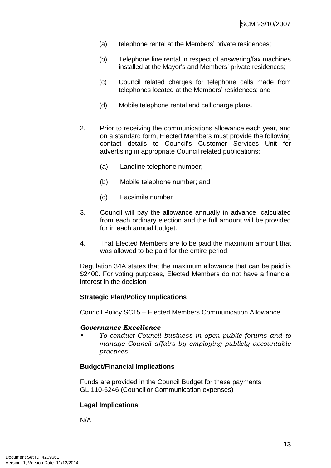- (a) telephone rental at the Members' private residences;
- (b) Telephone line rental in respect of answering/fax machines installed at the Mayor's and Members' private residences;
- (c) Council related charges for telephone calls made from telephones located at the Members' residences; and
- (d) Mobile telephone rental and call charge plans.
- 2. Prior to receiving the communications allowance each year, and on a standard form, Elected Members must provide the following contact details to Council's Customer Services Unit for advertising in appropriate Council related publications:
	- (a) Landline telephone number;
	- (b) Mobile telephone number; and
	- (c) Facsimile number
- 3. Council will pay the allowance annually in advance, calculated from each ordinary election and the full amount will be provided for in each annual budget.
- 4. That Elected Members are to be paid the maximum amount that was allowed to be paid for the entire period.

Regulation 34A states that the maximum allowance that can be paid is \$2400. For voting purposes, Elected Members do not have a financial interest in the decision

## **Strategic Plan/Policy Implications**

Council Policy SC15 – Elected Members Communication Allowance.

## *Governance Excellence*

*• To conduct Council business in open public forums and to manage Council affairs by employing publicly accountable practices* 

## **Budget/Financial Implications**

Funds are provided in the Council Budget for these payments GL 110-6246 (Councillor Communication expenses)

# **Legal Implications**

N/A